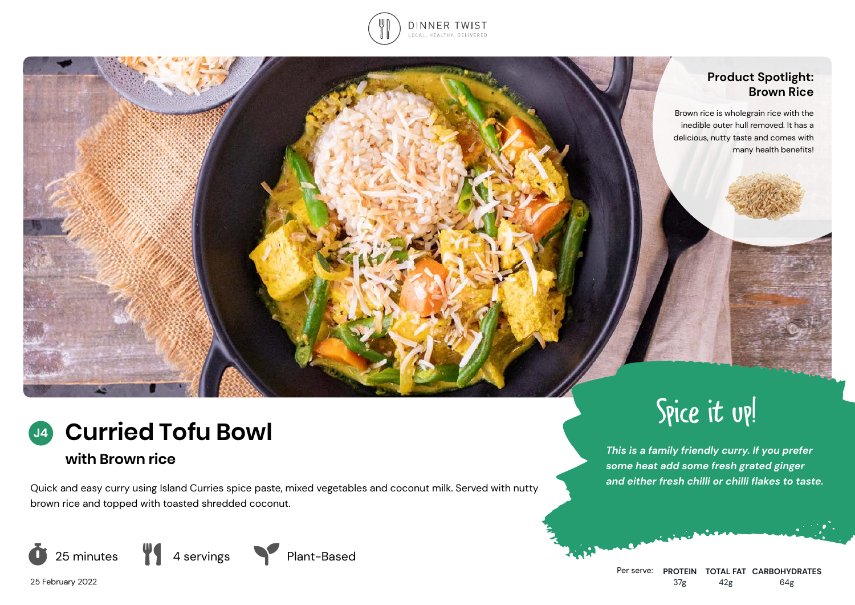

#### **Product Spotlight: Brown Rice**

Brown rice is wholegrain rice with the inedible outer hull removed. It has a delicious, nutty taste and comes with many health benefits!

## **Curried Tofu Bowl J4**

# **with Brown rice**

Quick and easy curry using Island Curries spice paste, mixed vegetables and coconut milk. Served with nutty brown rice and topped with toasted shredded coconut.







# Spice it up!

*This is a family friendly curry. If you prefer some heat add some fresh grated ginger and either fresh chilli or chilli flakes to taste.*